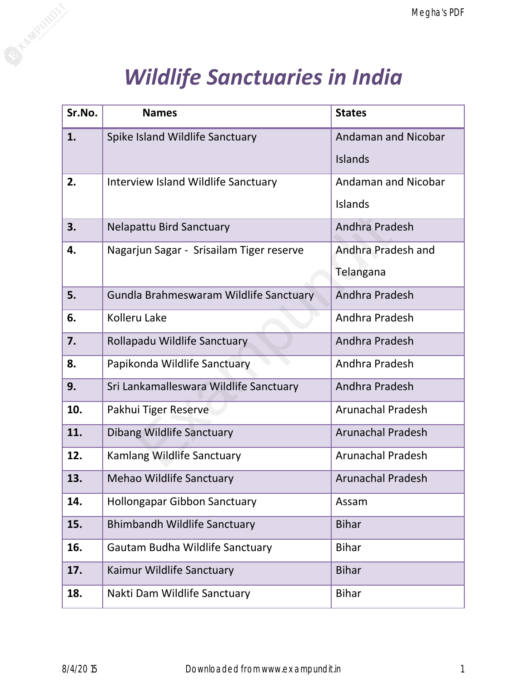## *Wildlife Sanctuaries in India*

|        |                                          | Megha's PDF                |
|--------|------------------------------------------|----------------------------|
|        |                                          |                            |
|        | <b>Wildlife Sanctuaries in India</b>     |                            |
| Sr.No. | <b>Names</b>                             | <b>States</b>              |
| 1.     | Spike Island Wildlife Sanctuary          | <b>Andaman and Nicobar</b> |
|        |                                          | <b>Islands</b>             |
| 2.     | Interview Island Wildlife Sanctuary      | <b>Andaman and Nicobar</b> |
|        |                                          | <b>Islands</b>             |
| 3.     | <b>Nelapattu Bird Sanctuary</b>          | Andhra Pradesh             |
| 4.     | Nagarjun Sagar - Srisailam Tiger reserve | Andhra Pradesh and         |
|        |                                          | Telangana                  |
| 5.     | Gundla Brahmeswaram Wildlife Sanctuary   | Andhra Pradesh             |
| 6.     | Kolleru Lake                             | Andhra Pradesh             |
| 7.     | Rollapadu Wildlife Sanctuary             | Andhra Pradesh             |
| 8.     | Papikonda Wildlife Sanctuary             | Andhra Pradesh             |
| 9.     | Sri Lankamalleswara Wildlife Sanctuary   | Andhra Pradesh             |
| 10.    | Pakhui Tiger Reserve                     | <b>Arunachal Pradesh</b>   |
| 11.    | Dibang Wildlife Sanctuary                | <b>Arunachal Pradesh</b>   |
| 12.    | Kamlang Wildlife Sanctuary               | <b>Arunachal Pradesh</b>   |
| 13.    | <b>Mehao Wildlife Sanctuary</b>          | <b>Arunachal Pradesh</b>   |
| 14.    | <b>Hollongapar Gibbon Sanctuary</b>      | Assam                      |
| 15.    | <b>Bhimbandh Wildlife Sanctuary</b>      | <b>Bihar</b>               |
| 16.    | Gautam Budha Wildlife Sanctuary          | <b>Bihar</b>               |
| 17.    | Kaimur Wildlife Sanctuary                | <b>Bihar</b>               |
| 18.    | Nakti Dam Wildlife Sanctuary             | <b>Bihar</b>               |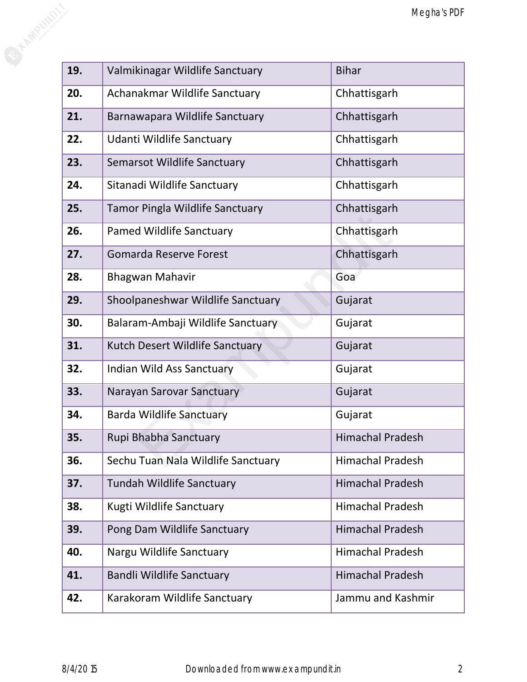|     |                                        | Megha's PDF             |
|-----|----------------------------------------|-------------------------|
|     |                                        |                         |
| 19. | Valmikinagar Wildlife Sanctuary        | <b>Bihar</b>            |
| 20. | Achanakmar Wildlife Sanctuary          | Chhattisgarh            |
| 21. | Barnawapara Wildlife Sanctuary         | Chhattisgarh            |
| 22. | Udanti Wildlife Sanctuary              | Chhattisgarh            |
| 23. | <b>Semarsot Wildlife Sanctuary</b>     | Chhattisgarh            |
| 24. | Sitanadi Wildlife Sanctuary            | Chhattisgarh            |
| 25. | <b>Tamor Pingla Wildlife Sanctuary</b> | Chhattisgarh            |
| 26. | <b>Pamed Wildlife Sanctuary</b>        | Chhattisgarh            |
| 27. | <b>Gomarda Reserve Forest</b>          | Chhattisgarh            |
| 28. | <b>Bhagwan Mahavir</b>                 | Goa                     |
| 29. | Shoolpaneshwar Wildlife Sanctuary      | Gujarat                 |
| 30. | Balaram-Ambaji Wildlife Sanctuary      | Gujarat                 |
| 31. | Kutch Desert Wildlife Sanctuary        | Gujarat                 |
| 32. | Indian Wild Ass Sanctuary              | Gujarat                 |
| 33. | Narayan Sarovar Sanctuary              | Gujarat                 |
| 34. | <b>Barda Wildlife Sanctuary</b>        | Gujarat                 |
| 35. | Rupi Bhabha Sanctuary                  | <b>Himachal Pradesh</b> |
| 36. | Sechu Tuan Nala Wildlife Sanctuary     | <b>Himachal Pradesh</b> |
| 37. | <b>Tundah Wildlife Sanctuary</b>       | <b>Himachal Pradesh</b> |
| 38. | Kugti Wildlife Sanctuary               | <b>Himachal Pradesh</b> |
| 39. | Pong Dam Wildlife Sanctuary            | <b>Himachal Pradesh</b> |
| 40. | Nargu Wildlife Sanctuary               | <b>Himachal Pradesh</b> |
| 41. | <b>Bandli Wildlife Sanctuary</b>       | <b>Himachal Pradesh</b> |
| 42. | Karakoram Wildlife Sanctuary           | Jammu and Kashmir       |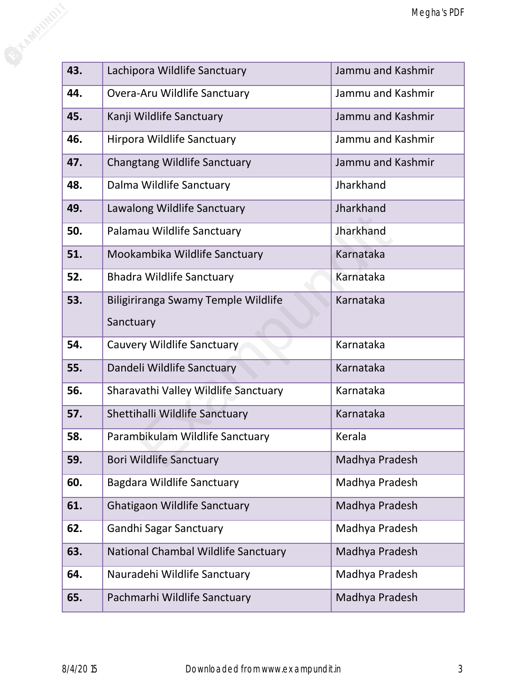|     |                                      | Megha's PDF       |
|-----|--------------------------------------|-------------------|
|     |                                      |                   |
| 43. | Lachipora Wildlife Sanctuary         | Jammu and Kashmir |
| 44. | Overa-Aru Wildlife Sanctuary         | Jammu and Kashmir |
|     |                                      |                   |
| 45. | Kanji Wildlife Sanctuary             | Jammu and Kashmir |
| 46. | Hirpora Wildlife Sanctuary           | Jammu and Kashmir |
| 47. | <b>Changtang Wildlife Sanctuary</b>  | Jammu and Kashmir |
| 48. | Dalma Wildlife Sanctuary             | Jharkhand         |
| 49. | Lawalong Wildlife Sanctuary          | Jharkhand         |
| 50. | Palamau Wildlife Sanctuary           | Jharkhand         |
| 51. | Mookambika Wildlife Sanctuary        | Karnataka         |
| 52. | <b>Bhadra Wildlife Sanctuary</b>     | Karnataka         |
| 53. | Biligiriranga Swamy Temple Wildlife  | Karnataka         |
|     | Sanctuary                            |                   |
| 54. | Cauvery Wildlife Sanctuary           | Karnataka         |
| 55. | Dandeli Wildlife Sanctuary           | Karnataka         |
| 56. | Sharavathi Valley Wildlife Sanctuary | Karnataka         |
| 57. | Shettihalli Wildlife Sanctuary       | Karnataka         |
| 58. | Parambikulam Wildlife Sanctuary      | Kerala            |
| 59. | <b>Bori Wildlife Sanctuary</b>       | Madhya Pradesh    |
| 60. | Bagdara Wildlife Sanctuary           | Madhya Pradesh    |
| 61. | <b>Ghatigaon Wildlife Sanctuary</b>  | Madhya Pradesh    |
| 62. | <b>Gandhi Sagar Sanctuary</b>        | Madhya Pradesh    |
| 63. | National Chambal Wildlife Sanctuary  | Madhya Pradesh    |
| 64. | Nauradehi Wildlife Sanctuary         | Madhya Pradesh    |
| 65. | Pachmarhi Wildlife Sanctuary         | Madhya Pradesh    |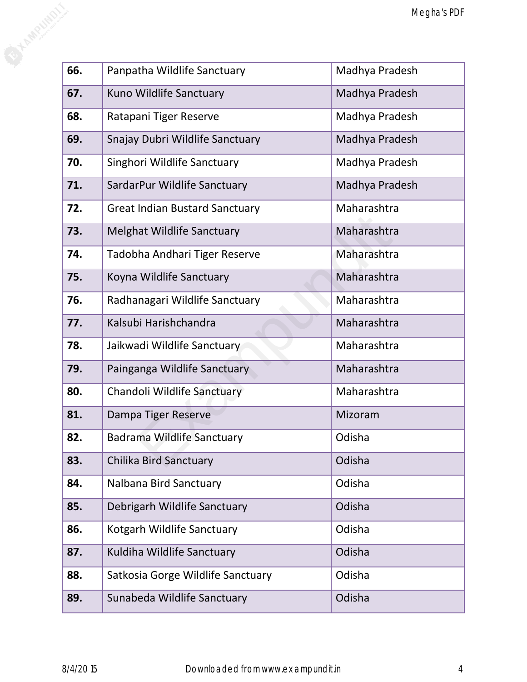|     |                                       | Megha's PDF    |
|-----|---------------------------------------|----------------|
|     |                                       |                |
| 66. | Panpatha Wildlife Sanctuary           | Madhya Pradesh |
| 67. | Kuno Wildlife Sanctuary               | Madhya Pradesh |
| 68. | Ratapani Tiger Reserve                | Madhya Pradesh |
| 69. | Snajay Dubri Wildlife Sanctuary       | Madhya Pradesh |
| 70. | Singhori Wildlife Sanctuary           | Madhya Pradesh |
| 71. | SardarPur Wildlife Sanctuary          | Madhya Pradesh |
| 72. | <b>Great Indian Bustard Sanctuary</b> | Maharashtra    |
| 73. | <b>Melghat Wildlife Sanctuary</b>     | Maharashtra    |
| 74. | Tadobha Andhari Tiger Reserve         | Maharashtra    |
| 75. | Koyna Wildlife Sanctuary              | Maharashtra    |
| 76. | Radhanagari Wildlife Sanctuary        | Maharashtra    |
| 77. | Kalsubi Harishchandra                 | Maharashtra    |
| 78. | Jaikwadi Wildlife Sanctuary           | Maharashtra    |
| 79. | Painganga Wildlife Sanctuary          | Maharashtra    |
| 80. | Chandoli Wildlife Sanctuary           | Maharashtra    |
| 81. | Dampa Tiger Reserve                   | Mizoram        |
| 82. | <b>Badrama Wildlife Sanctuary</b>     | Odisha         |
| 83. | <b>Chilika Bird Sanctuary</b>         | Odisha         |
| 84. | Nalbana Bird Sanctuary                | Odisha         |
| 85. | Debrigarh Wildlife Sanctuary          | Odisha         |
| 86. | Kotgarh Wildlife Sanctuary            | Odisha         |
| 87. | Kuldiha Wildlife Sanctuary            | Odisha         |
| 88. | Satkosia Gorge Wildlife Sanctuary     | Odisha         |
| 89. | Sunabeda Wildlife Sanctuary           | Odisha         |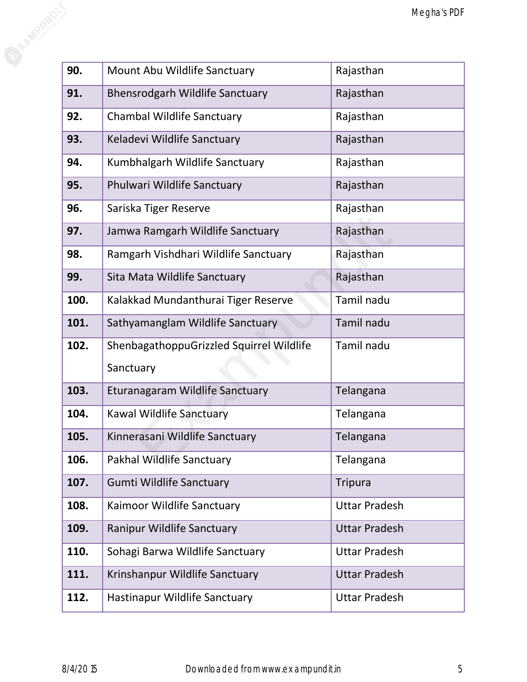|      |                                          | Megha's PDF          |
|------|------------------------------------------|----------------------|
|      |                                          |                      |
|      |                                          |                      |
| 90.  | Mount Abu Wildlife Sanctuary             | Rajasthan            |
| 91.  | <b>Bhensrodgarh Wildlife Sanctuary</b>   | Rajasthan            |
| 92.  | <b>Chambal Wildlife Sanctuary</b>        | Rajasthan            |
| 93.  | Keladevi Wildlife Sanctuary              | Rajasthan            |
| 94.  | Kumbhalgarh Wildlife Sanctuary           | Rajasthan            |
| 95.  | Phulwari Wildlife Sanctuary              | Rajasthan            |
| 96.  | Sariska Tiger Reserve                    | Rajasthan            |
| 97.  | Jamwa Ramgarh Wildlife Sanctuary         | Rajasthan            |
| 98.  | Ramgarh Vishdhari Wildlife Sanctuary     | Rajasthan            |
| 99.  | Sita Mata Wildlife Sanctuary             | Rajasthan            |
| 100. | Kalakkad Mundanthurai Tiger Reserve      | Tamil nadu           |
| 101. | Sathyamanglam Wildlife Sanctuary         | Tamil nadu           |
| 102. | ShenbagathoppuGrizzled Squirrel Wildlife | Tamil nadu           |
|      | Sanctuary                                |                      |
| 103. | Eturanagaram Wildlife Sanctuary          | Telangana            |
| 104. | Kawal Wildlife Sanctuary                 | Telangana            |
| 105. | Kinnerasani Wildlife Sanctuary           | Telangana            |
| 106. | Pakhal Wildlife Sanctuary                | Telangana            |
| 107. | <b>Gumti Wildlife Sanctuary</b>          | <b>Tripura</b>       |
| 108. | Kaimoor Wildlife Sanctuary               | <b>Uttar Pradesh</b> |
| 109. | <b>Ranipur Wildlife Sanctuary</b>        | <b>Uttar Pradesh</b> |
| 110. | Sohagi Barwa Wildlife Sanctuary          | <b>Uttar Pradesh</b> |
| 111. | Krinshanpur Wildlife Sanctuary           | <b>Uttar Pradesh</b> |
| 112. | Hastinapur Wildlife Sanctuary            | <b>Uttar Pradesh</b> |
|      |                                          |                      |